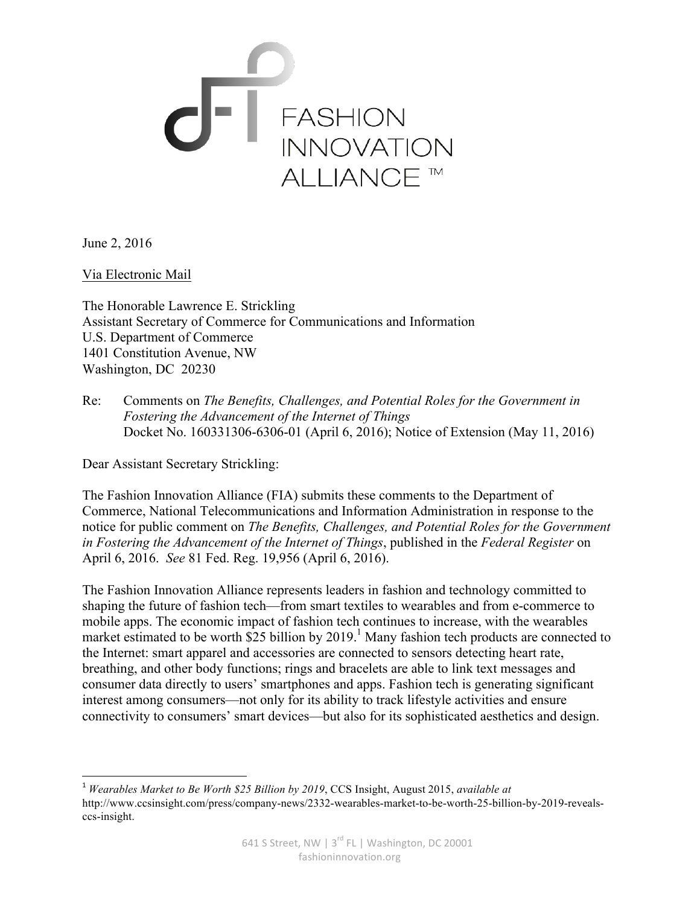

June 2, 2016

Via Electronic Mail

The Honorable Lawrence E. Strickling Assistant Secretary of Commerce for Communications and Information U.S. Department of Commerce 1401 Constitution Avenue, NW Washington, DC 20230

Re: Comments on *The Benefits, Challenges, and Potential Roles for the Government in Fostering the Advancement of the Internet of Things* Docket No. 160331306-6306-01 (April 6, 2016); Notice of Extension (May 11, 2016)

Dear Assistant Secretary Strickling:

<u> 1989 - Johann Stein, markin film yn y breninn y breninn y breninn y breninn y breninn y breninn y breninn y b</u>

The Fashion Innovation Alliance (FIA) submits these comments to the Department of Commerce, National Telecommunications and Information Administration in response to the notice for public comment on *The Benefits, Challenges, and Potential Roles for the Government in Fostering the Advancement of the Internet of Things*, published in the *Federal Register* on April 6, 2016. *See* 81 Fed. Reg. 19,956 (April 6, 2016).

The Fashion Innovation Alliance represents leaders in fashion and technology committed to shaping the future of fashion tech—from smart textiles to wearables and from e-commerce to mobile apps. The economic impact of fashion tech continues to increase, with the wearables market estimated to be worth  $\$25$  billion by 2019.<sup>1</sup> Many fashion tech products are connected to the Internet: smart apparel and accessories are connected to sensors detecting heart rate, breathing, and other body functions; rings and bracelets are able to link text messages and consumer data directly to users' smartphones and apps. Fashion tech is generating significant interest among consumers—not only for its ability to track lifestyle activities and ensure connectivity to consumers' smart devices—but also for its sophisticated aesthetics and design.

<sup>1</sup> *Wearables Market to Be Worth \$25 Billion by 2019*, CCS Insight, August 2015, *available at* http://www.ccsinsight.com/press/company-news/2332-wearables-market-to-be-worth-25-billion-by-2019-revealsccs-insight.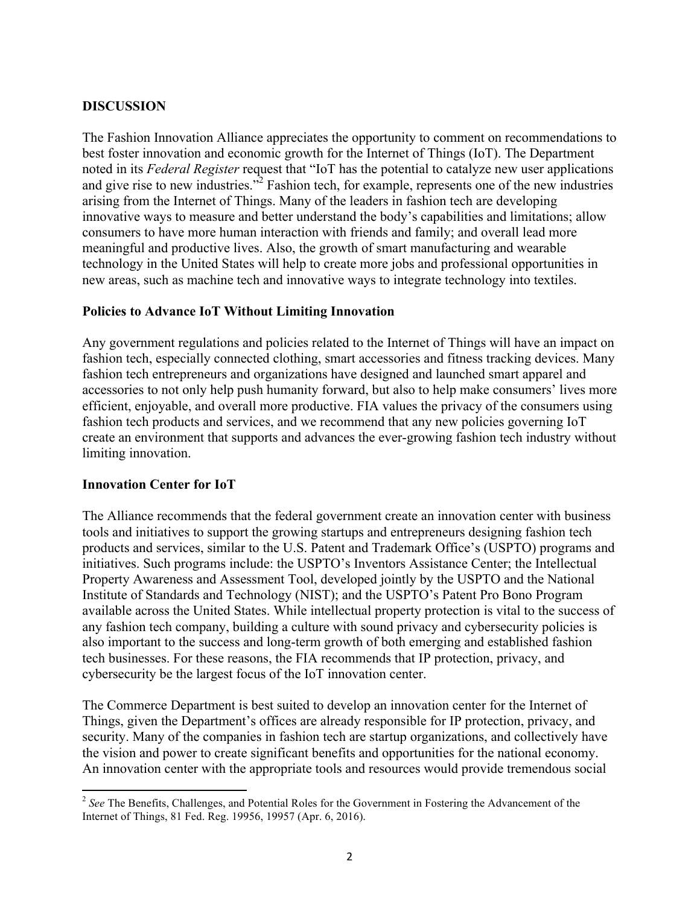## **DISCUSSION**

The Fashion Innovation Alliance appreciates the opportunity to comment on recommendations to best foster innovation and economic growth for the Internet of Things (IoT). The Department noted in its *Federal Register* request that "IoT has the potential to catalyze new user applications and give rise to new industries.<sup>"2</sup> Fashion tech, for example, represents one of the new industries arising from the Internet of Things. Many of the leaders in fashion tech are developing innovative ways to measure and better understand the body's capabilities and limitations; allow consumers to have more human interaction with friends and family; and overall lead more meaningful and productive lives. Also, the growth of smart manufacturing and wearable technology in the United States will help to create more jobs and professional opportunities in new areas, such as machine tech and innovative ways to integrate technology into textiles.

## **Policies to Advance IoT Without Limiting Innovation**

Any government regulations and policies related to the Internet of Things will have an impact on fashion tech, especially connected clothing, smart accessories and fitness tracking devices. Many fashion tech entrepreneurs and organizations have designed and launched smart apparel and accessories to not only help push humanity forward, but also to help make consumers' lives more efficient, enjoyable, and overall more productive. FIA values the privacy of the consumers using fashion tech products and services, and we recommend that any new policies governing IoT create an environment that supports and advances the ever-growing fashion tech industry without limiting innovation.

### **Innovation Center for IoT**

<u> 1989 - Johann Stein, markin film yn y breninn y breninn y breninn y breninn y breninn y breninn y breninn y b</u>

The Alliance recommends that the federal government create an innovation center with business tools and initiatives to support the growing startups and entrepreneurs designing fashion tech products and services, similar to the U.S. Patent and Trademark Office's (USPTO) programs and initiatives. Such programs include: the USPTO's Inventors Assistance Center; the Intellectual Property Awareness and Assessment Tool, developed jointly by the USPTO and the National Institute of Standards and Technology (NIST); and the USPTO's Patent Pro Bono Program available across the United States. While intellectual property protection is vital to the success of any fashion tech company, building a culture with sound privacy and cybersecurity policies is also important to the success and long-term growth of both emerging and established fashion tech businesses. For these reasons, the FIA recommends that IP protection, privacy, and cybersecurity be the largest focus of the IoT innovation center.

The Commerce Department is best suited to develop an innovation center for the Internet of Things, given the Department's offices are already responsible for IP protection, privacy, and security. Many of the companies in fashion tech are startup organizations, and collectively have the vision and power to create significant benefits and opportunities for the national economy. An innovation center with the appropriate tools and resources would provide tremendous social

<sup>&</sup>lt;sup>2</sup> See The Benefits, Challenges, and Potential Roles for the Government in Fostering the Advancement of the Internet of Things, 81 Fed. Reg. 19956, 19957 (Apr. 6, 2016).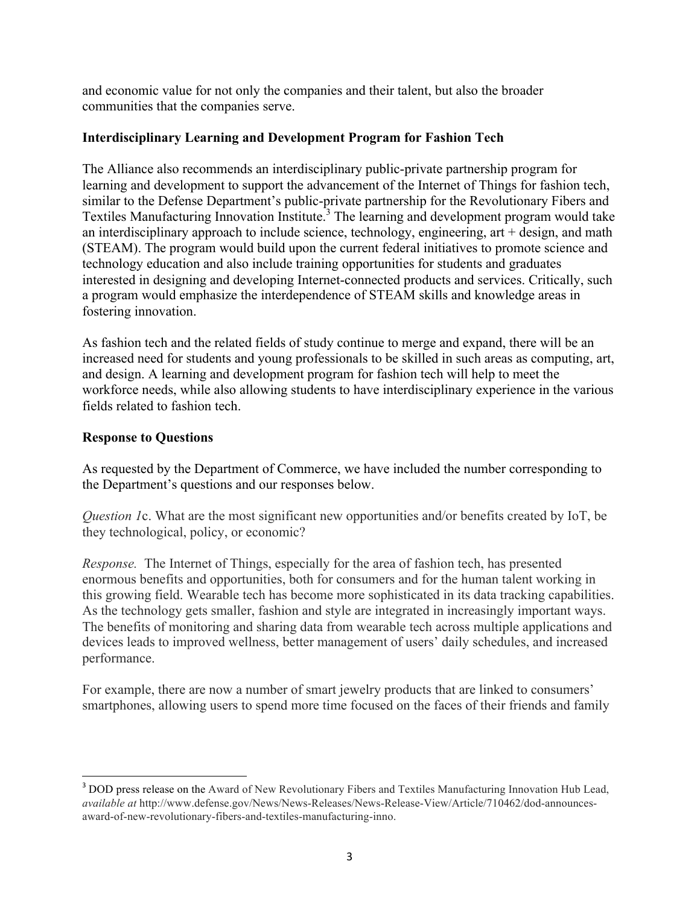and economic value for not only the companies and their talent, but also the broader communities that the companies serve.

## **Interdisciplinary Learning and Development Program for Fashion Tech**

The Alliance also recommends an interdisciplinary public-private partnership program for learning and development to support the advancement of the Internet of Things for fashion tech, similar to the Defense Department's public-private partnership for the Revolutionary Fibers and Textiles Manufacturing Innovation Institute.<sup>3</sup> The learning and development program would take an interdisciplinary approach to include science, technology, engineering, art + design, and math (STEAM). The program would build upon the current federal initiatives to promote science and technology education and also include training opportunities for students and graduates interested in designing and developing Internet-connected products and services. Critically, such a program would emphasize the interdependence of STEAM skills and knowledge areas in fostering innovation.

As fashion tech and the related fields of study continue to merge and expand, there will be an increased need for students and young professionals to be skilled in such areas as computing, art, and design. A learning and development program for fashion tech will help to meet the workforce needs, while also allowing students to have interdisciplinary experience in the various fields related to fashion tech.

# **Response to Questions**

<u> 1989 - Johann Stein, markin film yn y breninn y breninn y breninn y breninn y breninn y breninn y breninn y b</u>

As requested by the Department of Commerce, we have included the number corresponding to the Department's questions and our responses below.

*Question 1*c. What are the most significant new opportunities and/or benefits created by IoT, be they technological, policy, or economic?

*Response.* The Internet of Things, especially for the area of fashion tech, has presented enormous benefits and opportunities, both for consumers and for the human talent working in this growing field. Wearable tech has become more sophisticated in its data tracking capabilities. As the technology gets smaller, fashion and style are integrated in increasingly important ways. The benefits of monitoring and sharing data from wearable tech across multiple applications and devices leads to improved wellness, better management of users' daily schedules, and increased performance.

For example, there are now a number of smart jewelry products that are linked to consumers' smartphones, allowing users to spend more time focused on the faces of their friends and family

<sup>&</sup>lt;sup>3</sup> DOD press release on the Award of New Revolutionary Fibers and Textiles Manufacturing Innovation Hub Lead, *available at* http://www.defense.gov/News/News-Releases/News-Release-View/Article/710462/dod-announcesaward-of-new-revolutionary-fibers-and-textiles-manufacturing-inno.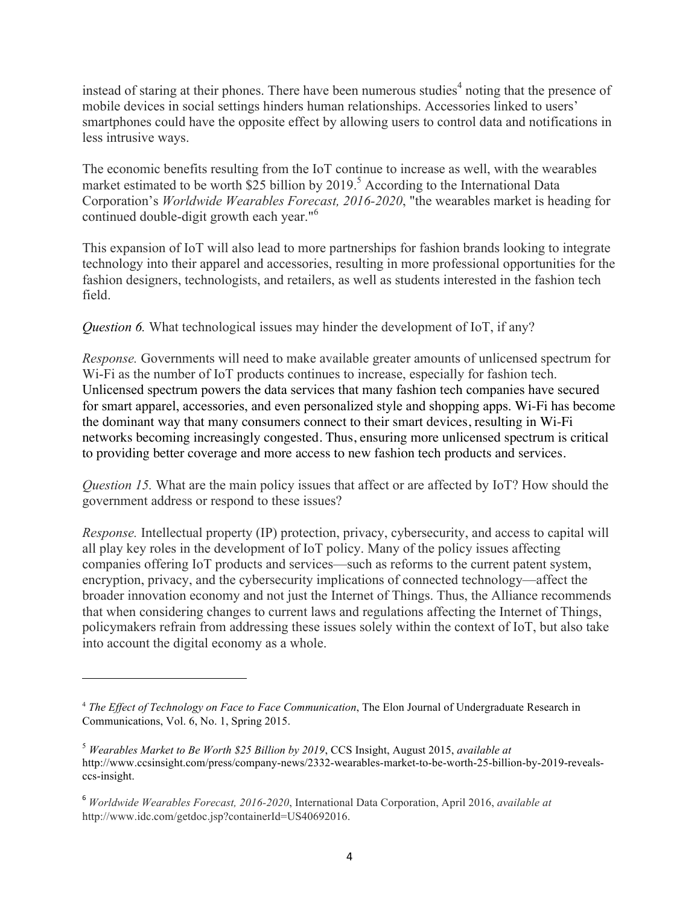instead of staring at their phones. There have been numerous studies<sup>4</sup> noting that the presence of mobile devices in social settings hinders human relationships. Accessories linked to users' smartphones could have the opposite effect by allowing users to control data and notifications in less intrusive ways.

The economic benefits resulting from the IoT continue to increase as well, with the wearables market estimated to be worth  $\frac{25}{25}$  billion by 2019.<sup>5</sup> According to the International Data Corporation's *Worldwide Wearables Forecast, 2016-2020*, "the wearables market is heading for continued double-digit growth each year."<sup>6</sup>

This expansion of IoT will also lead to more partnerships for fashion brands looking to integrate technology into their apparel and accessories, resulting in more professional opportunities for the fashion designers, technologists, and retailers, as well as students interested in the fashion tech field.

*Question 6.* What technological issues may hinder the development of IoT, if any?

*Response.* Governments will need to make available greater amounts of unlicensed spectrum for Wi-Fi as the number of IoT products continues to increase, especially for fashion tech. Unlicensed spectrum powers the data services that many fashion tech companies have secured for smart apparel, accessories, and even personalized style and shopping apps. Wi-Fi has become the dominant way that many consumers connect to their smart devices, resulting in Wi-Fi networks becoming increasingly congested. Thus, ensuring more unlicensed spectrum is critical to providing better coverage and more access to new fashion tech products and services.

*Question 15.* What are the main policy issues that affect or are affected by IoT? How should the government address or respond to these issues?

*Response.* Intellectual property (IP) protection, privacy, cybersecurity, and access to capital will all play key roles in the development of IoT policy. Many of the policy issues affecting companies offering IoT products and services—such as reforms to the current patent system, encryption, privacy, and the cybersecurity implications of connected technology—affect the broader innovation economy and not just the Internet of Things. Thus, the Alliance recommends that when considering changes to current laws and regulations affecting the Internet of Things, policymakers refrain from addressing these issues solely within the context of IoT, but also take into account the digital economy as a whole.

<u> 1989 - Johann Stein, markin film yn y breninn y breninn y breninn y breninn y breninn y breninn y breninn y b</u>

<sup>4</sup> *The Effect of Technology on Face to Face Communication*, The Elon Journal of Undergraduate Research in Communications, Vol. 6, No. 1, Spring 2015.

<sup>5</sup> *Wearables Market to Be Worth \$25 Billion by 2019*, CCS Insight, August 2015, *available at* http://www.ccsinsight.com/press/company-news/2332-wearables-market-to-be-worth-25-billion-by-2019-revealsccs-insight.

<sup>6</sup> *Worldwide Wearables Forecast, 2016-2020*, International Data Corporation, April 2016, *available at* http://www.idc.com/getdoc.jsp?containerId=US40692016.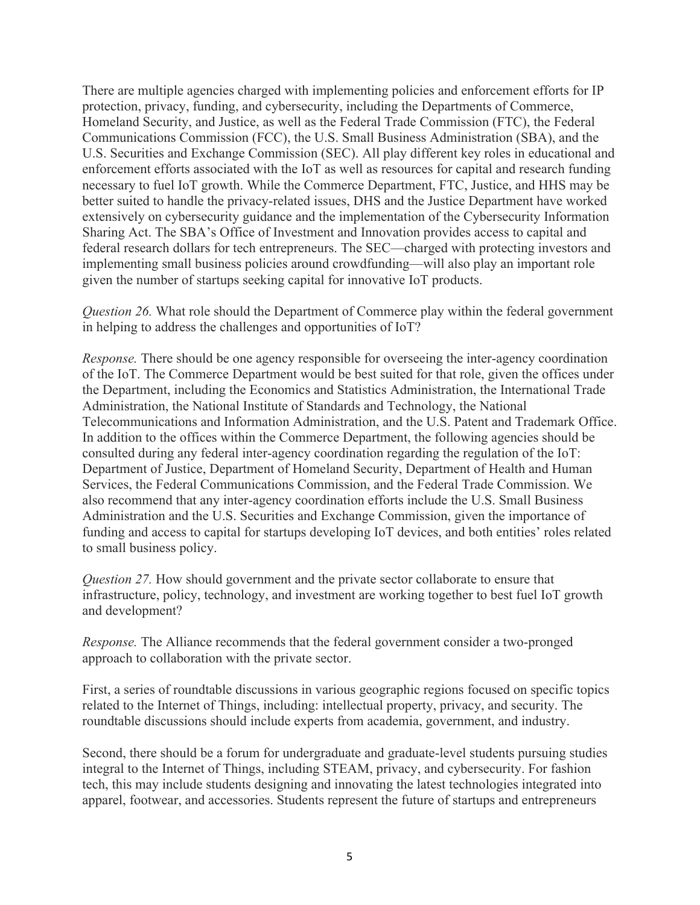There are multiple agencies charged with implementing policies and enforcement efforts for IP protection, privacy, funding, and cybersecurity, including the Departments of Commerce, Homeland Security, and Justice, as well as the Federal Trade Commission (FTC), the Federal Communications Commission (FCC), the U.S. Small Business Administration (SBA), and the U.S. Securities and Exchange Commission (SEC). All play different key roles in educational and enforcement efforts associated with the IoT as well as resources for capital and research funding necessary to fuel IoT growth. While the Commerce Department, FTC, Justice, and HHS may be better suited to handle the privacy-related issues, DHS and the Justice Department have worked extensively on cybersecurity guidance and the implementation of the Cybersecurity Information Sharing Act. The SBA's Office of Investment and Innovation provides access to capital and federal research dollars for tech entrepreneurs. The SEC—charged with protecting investors and implementing small business policies around crowdfunding—will also play an important role given the number of startups seeking capital for innovative IoT products.

*Question 26.* What role should the Department of Commerce play within the federal government in helping to address the challenges and opportunities of IoT?

*Response.* There should be one agency responsible for overseeing the inter-agency coordination of the IoT. The Commerce Department would be best suited for that role, given the offices under the Department, including the Economics and Statistics Administration, the International Trade Administration, the National Institute of Standards and Technology, the National Telecommunications and Information Administration, and the U.S. Patent and Trademark Office. In addition to the offices within the Commerce Department, the following agencies should be consulted during any federal inter-agency coordination regarding the regulation of the IoT: Department of Justice, Department of Homeland Security, Department of Health and Human Services, the Federal Communications Commission, and the Federal Trade Commission. We also recommend that any inter-agency coordination efforts include the U.S. Small Business Administration and the U.S. Securities and Exchange Commission, given the importance of funding and access to capital for startups developing IoT devices, and both entities' roles related to small business policy.

*Question 27.* How should government and the private sector collaborate to ensure that infrastructure, policy, technology, and investment are working together to best fuel IoT growth and development?

*Response.* The Alliance recommends that the federal government consider a two-pronged approach to collaboration with the private sector.

First, a series of roundtable discussions in various geographic regions focused on specific topics related to the Internet of Things, including: intellectual property, privacy, and security. The roundtable discussions should include experts from academia, government, and industry.

Second, there should be a forum for undergraduate and graduate-level students pursuing studies integral to the Internet of Things, including STEAM, privacy, and cybersecurity. For fashion tech, this may include students designing and innovating the latest technologies integrated into apparel, footwear, and accessories. Students represent the future of startups and entrepreneurs